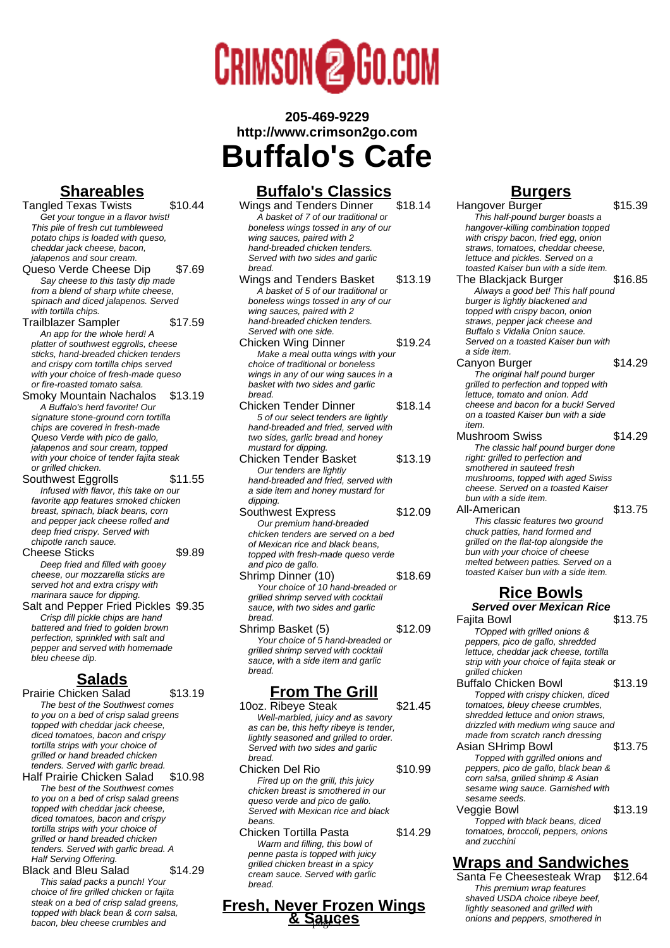

## **205-469-9229 http://www.crimson2go.com Buffalo's Cafe**

## **Shareables**

Tangled Texas Twists \$10.44 Get your tongue in a flavor twist! This pile of fresh cut tumbleweed potato chips is loaded with queso, cheddar jack cheese, bacon, jalapenos and sour cream Queso Verde Cheese Dip \$7.69 Say cheese to this tasty dip made from a blend of sharp white cheese,

spinach and diced jalapenos. Served with tortilla chips. Trailblazer Sampler \$17.59 An app for the whole herd! A platter of southwest eggrolls, cheese

sticks, hand-breaded chicken tenders and crispy corn tortilla chips served with your choice of fresh-made queso or fire-roasted tomato salsa.

Smoky Mountain Nachalos \$13.19 A Buffalo's herd favorite! Our signature stone-ground corn tortilla chips are covered in fresh-made Queso Verde with pico de gallo, jalapenos and sour cream, topped with your choice of tender fajita steak or grilled chicken.

Southwest Eggrolls \$11.55 Infused with flavor, this take on our favorite app features smoked chicken breast, spinach, black beans, corn and pepper jack cheese rolled and deep fried crispy. Served with chipotle ranch sauce.

Cheese Sticks \$9.89 Deep fried and filled with gooey cheese, our mozzarella sticks are served hot and extra crispy with marinara sauce for dipping.

Salt and Pepper Fried Pickles \$9.35 Crisp dill pickle chips are hand battered and fried to golden brown perfection, sprinkled with salt and pepper and served with homemade bleu cheese dip.

### **Salads**

Prairie Chicken Salad \$13.19 The best of the Southwest comes to you on a bed of crisp salad greens topped with cheddar jack cheese, diced tomatoes, bacon and crispy tortilla strips with your choice of grilled or hand breaded chicken tenders. Served with garlic bread.

Half Prairie Chicken Salad \$10.98 The best of the Southwest comes to you on a bed of crisp salad greens topped with cheddar jack cheese, diced tomatoes, bacon and crispy tortilla strips with your choice of grilled or hand breaded chicken tenders. Served with garlic bread. A Half Serving Offering.

Black and Bleu Salad \$14.29 This salad packs a punch! Your choice of fire grilled chicken or fajita steak on a bed of crisp salad greens, topped with black bean & corn salsa, bacon, bleu cheese crumbles and

#### **Buffalo's Classics**

Wings and Tenders Dinner \$18.14 A basket of 7 of our traditional or boneless wings tossed in any of our wing sauces, paired with 2 hand-breaded chicken tenders. Served with two sides and garlic bread. Wings and Tenders Basket \$13.19 A basket of 5 of our traditional or

boneless wings tossed in any of our wing sauces, paired with 2 hand-breaded chicken tenders. Served with one side. Chicken Wing Dinner \$19.24

Make a meal outta wings with your choice of traditional or boneless wings in any of our wing sauces in a basket with two sides and garlic bread.

- Chicken Tender Dinner \$18.14 5 of our select tenders are lightly hand-breaded and fried, served with two sides, garlic bread and honey mustard for dipping.
- Chicken Tender Basket \$13.19 Our tenders are lightly hand-breaded and fried, served with a side item and honey mustard for dipping.
- Southwest Express \$12.09 Our premium hand-breaded chicken tenders are served on a bed of Mexican rice and black beans, topped with fresh-made queso verde and pico de gallo.
- Shrimp Dinner (10) \$18.69 Your choice of 10 hand-breaded or grilled shrimp served with cocktail sauce, with two sides and garlic bread.

Shrimp Basket (5) \$12.09 Your choice of 5 hand-breaded or grilled shrimp served with cocktail sauce, with a side item and garlic bread.

#### **From The Grill**

- 10oz. Ribeye Steak \$21.45 Well-marbled, juicy and as savory as can be, this hefty ribeye is tender, lightly seasoned and grilled to order. Served with two sides and garlic bread.
- Chicken Del Rio  $$10.99$ Fired up on the grill, this juicy chicken breast is smothered in our queso verde and pico de gallo. Served with Mexican rice and black beans.
- Chicken Tortilla Pasta \$14.29 Warm and filling, this bowl of penne pasta is topped with juicy grilled chicken breast in a spicy cream sauce. Served with garlic bread.

#### **Fresh, Never Frozen Wings & Sauces b** *same second and games maximal*

### **Burgers**

Hangover Burger **\$15.39** This half-pound burger boasts a hangover-killing combination topped with crispy bacon, fried egg, onion straws, tomatoes, cheddar cheese. lettuce and pickles. Served on a toasted Kaiser bun with a side item. The Blackjack Burger \$16.85 Always a good bet! This half pound burger is lightly blackened and topped with crispy bacon, onion straws, pepper jack cheese and Buffalo s Vidalia Onion sauce. Served on a toasted Kaiser bun with a side item. Canyon Burger \$14.29 The original half pound burger grilled to perfection and topped with lettuce, tomato and onion. Add cheese and bacon for a buck! Served on a toasted Kaiser bun with a side item. Mushroom Swiss \$14.29 The classic half pound burger done right: grilled to perfection and smothered in sauteed fresh mushrooms, topped with aged Swiss cheese. Served on a toasted Kaiser bun with a side item. All-American \$13.75 This classic features two ground chuck patties, hand formed and grilled on the flat-top alongside the bun with your choice of cheese melted between patties. Served on a toasted Kaiser bun with a side item. **Rice Bowls Served over Mexican Rice**

Fajita Bowl \$13.75 TOpped with grilled onions & peppers, pico de gallo, shredded lettuce, cheddar jack cheese, tortilla strip with your choice of fajita steak or grilled chicken

Buffalo Chicken Bowl \$13.19 Topped with crispy chicken, diced tomatoes, bleuy cheese crumbles, shredded lettuce and onion straws, drizzled with medium wing sauce and made from scratch ranch dressing

Asian SHrimp Bowl \$13.75 Topped with ggrilled onions and peppers, pico de gallo, black bean & corn salsa, grilled shrimp & Asian sesame wing sauce. Garnished with sesame seeds. Veggie Bowl \$13.19

Topped with black beans, diced tomatoes, broccoli, peppers, onions and zucchini

### **Wraps and Sandwiches**

Santa Fe Cheesesteak Wrap \$12.64 This premium wrap features shaved USDA choice ribeye beef, lightly seasoned and grilled with<br>onions and peppers, smothered in